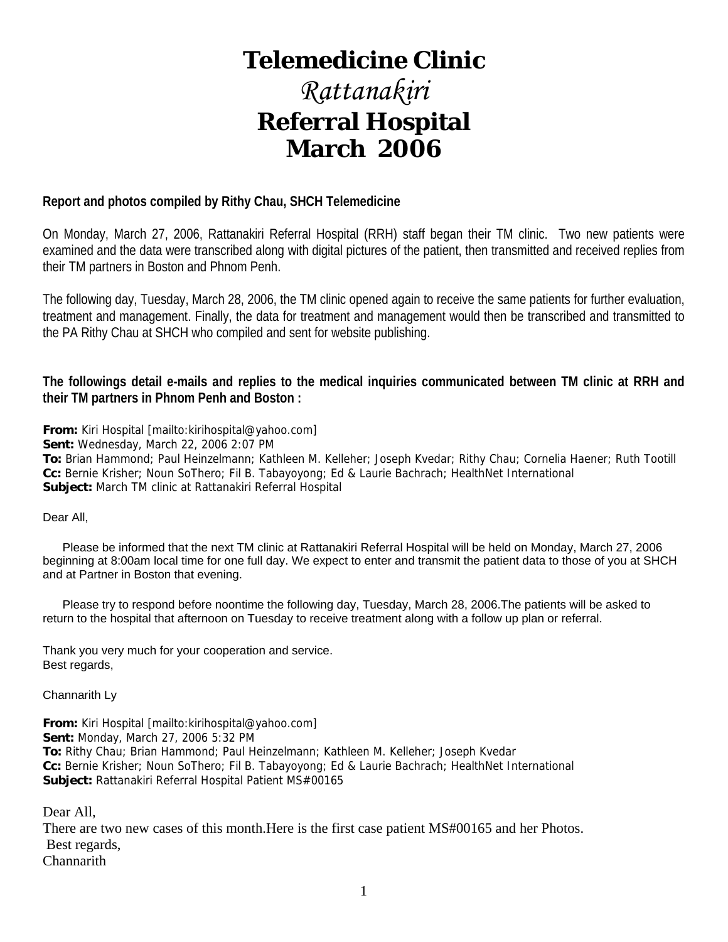# **Telemedicine Clinic**

# *Rattanakiri*  **Referral Hospital March 2006**

# **Report and photos compiled by Rithy Chau, SHCH Telemedicine**

On Monday, March 27, 2006, Rattanakiri Referral Hospital (RRH) staff began their TM clinic. Two new patients were examined and the data were transcribed along with digital pictures of the patient, then transmitted and received replies from their TM partners in Boston and Phnom Penh.

The following day, Tuesday, March 28, 2006, the TM clinic opened again to receive the same patients for further evaluation, treatment and management. Finally, the data for treatment and management would then be transcribed and transmitted to the PA Rithy Chau at SHCH who compiled and sent for website publishing.

**The followings detail e-mails and replies to the medical inquiries communicated between TM clinic at RRH and their TM partners in Phnom Penh and Boston :** 

**From:** Kiri Hospital [mailto:kirihospital@yahoo.com]

**Sent:** Wednesday, March 22, 2006 2:07 PM

**To:** Brian Hammond; Paul Heinzelmann; Kathleen M. Kelleher; Joseph Kvedar; Rithy Chau; Cornelia Haener; Ruth Tootill **Cc:** Bernie Krisher; Noun SoThero; Fil B. Tabayoyong; Ed & Laurie Bachrach; HealthNet International **Subject:** March TM clinic at Rattanakiri Referral Hospital

Dear All,

 Please be informed that the next TM clinic at Rattanakiri Referral Hospital will be held on Monday, March 27, 2006 beginning at 8:00am local time for one full day. We expect to enter and transmit the patient data to those of you at SHCH and at Partner in Boston that evening.

 Please try to respond before noontime the following day, Tuesday, March 28, 2006.The patients will be asked to return to the hospital that afternoon on Tuesday to receive treatment along with a follow up plan or referral.

Thank you very much for your cooperation and service. Best regards,

Channarith Ly

**From:** Kiri Hospital [mailto:kirihospital@yahoo.com] **Sent:** Monday, March 27, 2006 5:32 PM **To:** Rithy Chau; Brian Hammond; Paul Heinzelmann; Kathleen M. Kelleher; Joseph Kvedar **Cc:** Bernie Krisher; Noun SoThero; Fil B. Tabayoyong; Ed & Laurie Bachrach; HealthNet International **Subject:** Rattanakiri Referral Hospital Patient MS#00165

Dear All,

There are two new cases of this month.Here is the first case patient MS#00165 and her Photos. Best regards, **Channarith**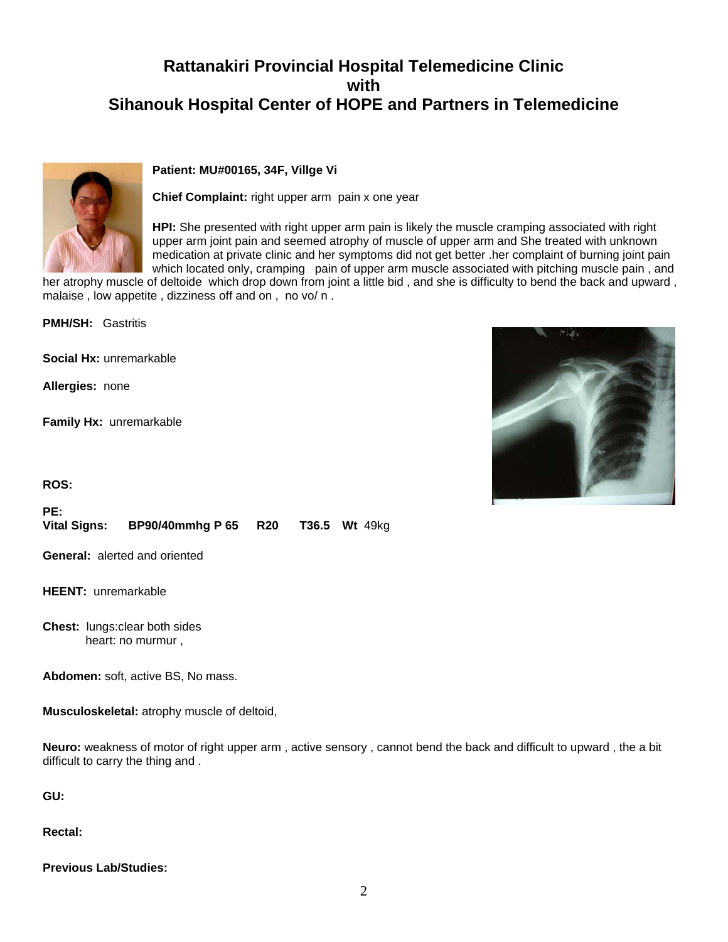# **Rattanakiri Provincial Hospital Telemedicine Clinic with Sihanouk Hospital Center of HOPE and Partners in Telemedicine**



### **Patient: MU#00165, 34F, Villge Vi**

**Chief Complaint:** right upper arm pain x one year

**HPI:** She presented with right upper arm pain is likely the muscle cramping associated with right upper arm joint pain and seemed atrophy of muscle of upper arm and She treated with unknown medication at private clinic and her symptoms did not get better .her complaint of burning joint pain which located only, cramping pain of upper arm muscle associated with pitching muscle pain, and

her atrophy muscle of deltoide which drop down from joint a little bid , and she is difficulty to bend the back and upward , malaise , low appetite , dizziness off and on , no vo/ n .

**PMH/SH:** Gastritis

**Social Hx:** unremarkable

**Allergies:** none

**Family Hx:** unremarkable

**ROS:**

**PE: Vital Signs: BP90/40mmhg P 65 R20 T36.5 Wt** 49kg

**General:** alerted and oriented

**HEENT:** unremarkable

**Chest:** lungs:clear both sides heart: no murmur ,

**Abdomen:** soft, active BS, No mass.

**Musculoskeletal:** atrophy muscle of deltoid,

**Neuro:** weakness of motor of right upper arm , active sensory , cannot bend the back and difficult to upward , the a bit difficult to carry the thing and .

**GU:**

**Rectal:**

**Previous Lab/Studies:**

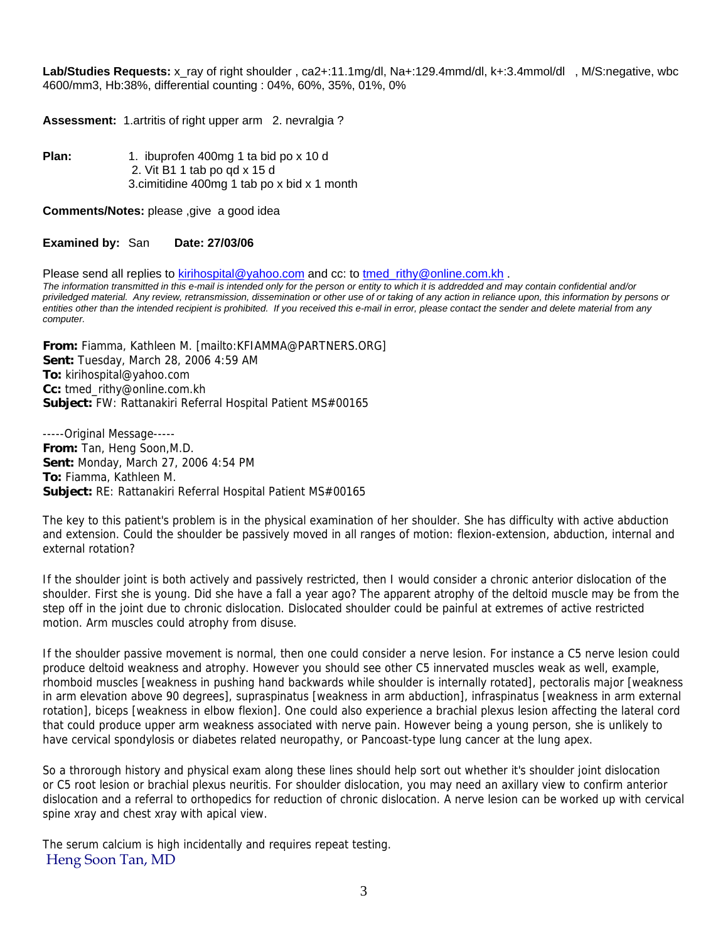Lab/Studies Requests: x ray of right shoulder , ca2+:11.1mg/dl, Na+:129.4mmd/dl, k+:3.4mmol/dl , M/S:negative, wbc 4600/mm3, Hb:38%, differential counting : 04%, 60%, 35%, 01%, 0%

**Assessment:** 1.artritis of right upper arm 2. nevralgia ?

Plan: 1. ibuprofen 400mg 1 ta bid po x 10 d 2. Vit B1 1 tab po qd x 15 d 3.cimitidine 400mg 1 tab po x bid x 1 month

**Comments/Notes:** please ,give a good idea

#### **Examined by:** San **Date: 27/03/06**

Please send all replies to [kirihospital@yahoo.com](mailto:kirihospital@yahoo.com) and cc: to [tmed\\_rithy@online.com.kh](mailto:tmed_rithy@bigpond.com.kh) . *The information transmitted in this e-mail is intended only for the person or entity to which it is addredded and may contain confidential and/or priviledged material. Any review, retransmission, dissemination or other use of or taking of any action in reliance upon, this information by persons or entities other than the intended recipient is prohibited. If you received this e-mail in error, please contact the sender and delete material from any computer.*

**From:** Fiamma, Kathleen M. [mailto:KFIAMMA@PARTNERS.ORG] **Sent:** Tuesday, March 28, 2006 4:59 AM **To:** kirihospital@yahoo.com **Cc:** tmed\_rithy@online.com.kh **Subject:** FW: Rattanakiri Referral Hospital Patient MS#00165

-----Original Message----- **From:** Tan, Heng Soon,M.D. **Sent:** Monday, March 27, 2006 4:54 PM **To:** Fiamma, Kathleen M. **Subject:** RE: Rattanakiri Referral Hospital Patient MS#00165

The key to this patient's problem is in the physical examination of her shoulder. She has difficulty with active abduction and extension. Could the shoulder be passively moved in all ranges of motion: flexion-extension, abduction, internal and external rotation?

If the shoulder joint is both actively and passively restricted, then I would consider a chronic anterior dislocation of the shoulder. First she is young. Did she have a fall a year ago? The apparent atrophy of the deltoid muscle may be from the step off in the joint due to chronic dislocation. Dislocated shoulder could be painful at extremes of active restricted motion. Arm muscles could atrophy from disuse.

If the shoulder passive movement is normal, then one could consider a nerve lesion. For instance a C5 nerve lesion could produce deltoid weakness and atrophy. However you should see other C5 innervated muscles weak as well, example, rhomboid muscles [weakness in pushing hand backwards while shoulder is internally rotated], pectoralis major [weakness in arm elevation above 90 degrees], supraspinatus [weakness in arm abduction], infraspinatus [weakness in arm external rotation], biceps [weakness in elbow flexion]. One could also experience a brachial plexus lesion affecting the lateral cord that could produce upper arm weakness associated with nerve pain. However being a young person, she is unlikely to have cervical spondylosis or diabetes related neuropathy, or Pancoast-type lung cancer at the lung apex.

So a throrough history and physical exam along these lines should help sort out whether it's shoulder joint dislocation or C5 root lesion or brachial plexus neuritis. For shoulder dislocation, you may need an axillary view to confirm anterior dislocation and a referral to orthopedics for reduction of chronic dislocation. A nerve lesion can be worked up with cervical spine xray and chest xray with apical view.

The serum calcium is high incidentally and requires repeat testing. Heng Soon Tan, MD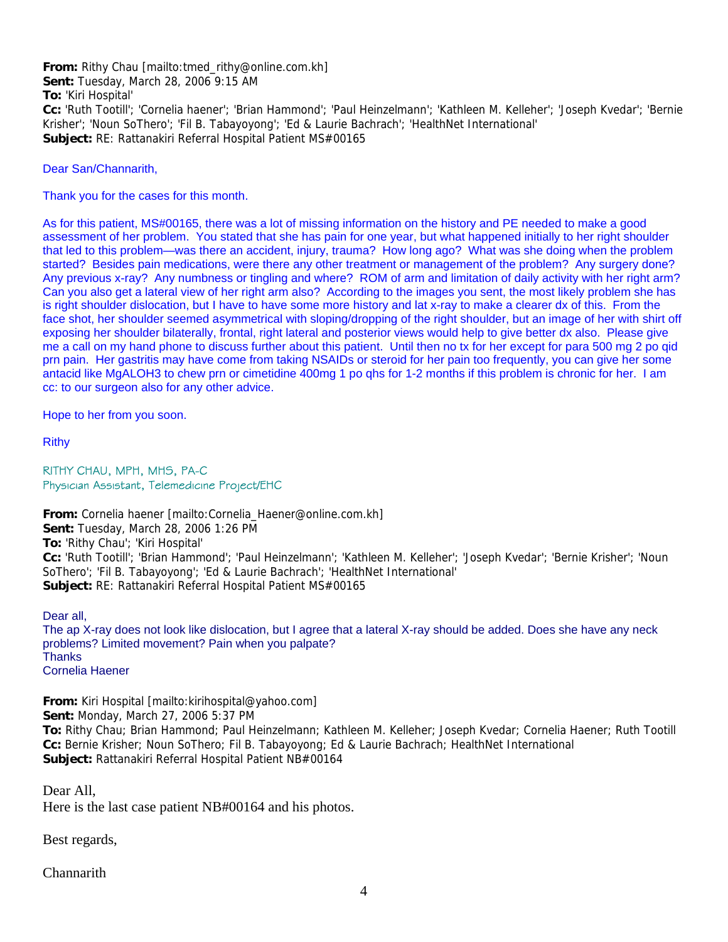**From:** Rithy Chau [mailto:tmed\_rithy@online.com.kh] **Sent:** Tuesday, March 28, 2006 9:15 AM **To:** 'Kiri Hospital' **Cc:** 'Ruth Tootill'; 'Cornelia haener'; 'Brian Hammond'; 'Paul Heinzelmann'; 'Kathleen M. Kelleher'; 'Joseph Kvedar'; 'Bernie Krisher'; 'Noun SoThero'; 'Fil B. Tabayoyong'; 'Ed & Laurie Bachrach'; 'HealthNet International' **Subject:** RE: Rattanakiri Referral Hospital Patient MS#00165

Dear San/Channarith,

Thank you for the cases for this month.

As for this patient, MS#00165, there was a lot of missing information on the history and PE needed to make a good assessment of her problem. You stated that she has pain for one year, but what happened initially to her right shoulder that led to this problem—was there an accident, injury, trauma? How long ago? What was she doing when the problem started? Besides pain medications, were there any other treatment or management of the problem? Any surgery done? Any previous x-ray? Any numbness or tingling and where? ROM of arm and limitation of daily activity with her right arm? Can you also get a lateral view of her right arm also? According to the images you sent, the most likely problem she has is right shoulder dislocation, but I have to have some more history and lat x-ray to make a clearer dx of this. From the face shot, her shoulder seemed asymmetrical with sloping/dropping of the right shoulder, but an image of her with shirt off exposing her shoulder bilaterally, frontal, right lateral and posterior views would help to give better dx also. Please give me a call on my hand phone to discuss further about this patient. Until then no tx for her except for para 500 mg 2 po qid prn pain. Her gastritis may have come from taking NSAIDs or steroid for her pain too frequently, you can give her some antacid like MgALOH3 to chew prn or cimetidine 400mg 1 po qhs for 1-2 months if this problem is chronic for her. I am cc: to our surgeon also for any other advice.

Hope to her from you soon.

Rithy

RITHY CHAU, MPH, MHS, PA-C Physician Assistant, Telemedicine Project/EHC

**From:** Cornelia haener [mailto:Cornelia\_Haener@online.com.kh] **Sent:** Tuesday, March 28, 2006 1:26 PM **To:** 'Rithy Chau'; 'Kiri Hospital' **Cc:** 'Ruth Tootill'; 'Brian Hammond'; 'Paul Heinzelmann'; 'Kathleen M. Kelleher'; 'Joseph Kvedar'; 'Bernie Krisher'; 'Noun SoThero'; 'Fil B. Tabayoyong'; 'Ed & Laurie Bachrach'; 'HealthNet International' **Subject:** RE: Rattanakiri Referral Hospital Patient MS#00165

Dear all,

The ap X-ray does not look like dislocation, but I agree that a lateral X-ray should be added. Does she have any neck problems? Limited movement? Pain when you palpate? **Thanks** Cornelia Haener

**From:** Kiri Hospital [mailto:kirihospital@yahoo.com] **Sent:** Monday, March 27, 2006 5:37 PM **To:** Rithy Chau; Brian Hammond; Paul Heinzelmann; Kathleen M. Kelleher; Joseph Kvedar; Cornelia Haener; Ruth Tootill **Cc:** Bernie Krisher; Noun SoThero; Fil B. Tabayoyong; Ed & Laurie Bachrach; HealthNet International **Subject:** Rattanakiri Referral Hospital Patient NB#00164

Dear All, Here is the last case patient NB#00164 and his photos.

Best regards,

**Channarith**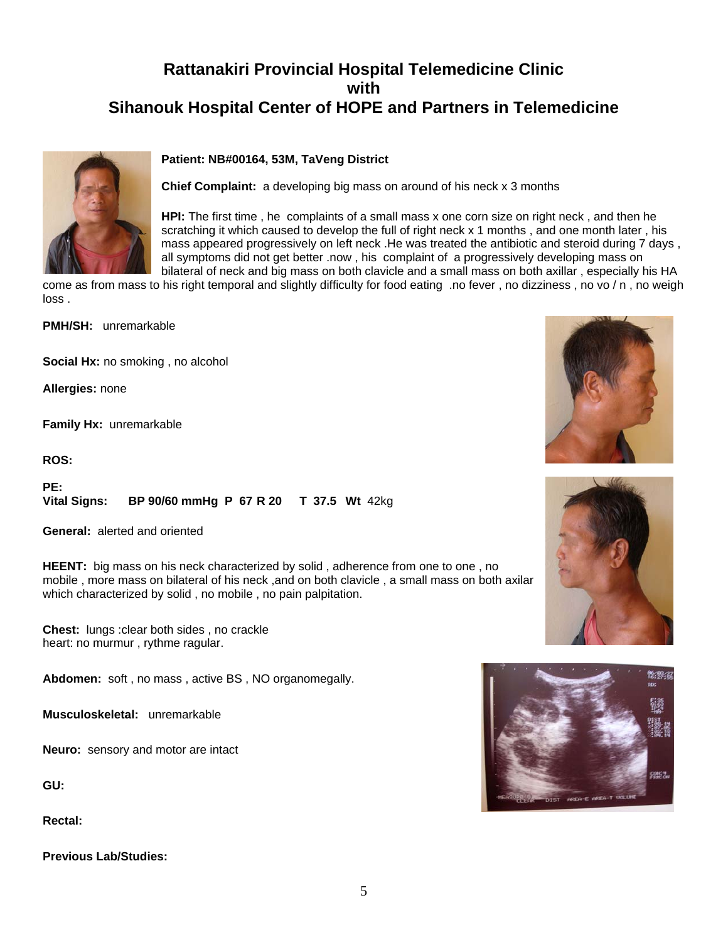# **Rattanakiri Provincial Hospital Telemedicine Clinic with Sihanouk Hospital Center of HOPE and Partners in Telemedicine**

## **Patient: NB#00164, 53M, TaVeng District**



**Chief Complaint:** a developing big mass on around of his neck x 3 months

**HPI:** The first time , he complaints of a small mass x one corn size on right neck , and then he scratching it which caused to develop the full of right neck x 1 months, and one month later, his mass appeared progressively on left neck .He was treated the antibiotic and steroid during 7 days , all symptoms did not get better .now , his complaint of a progressively developing mass on bilateral of neck and big mass on both clavicle and a small mass on both axillar , especially his HA

come as from mass to his right temporal and slightly difficulty for food eating .no fever , no dizziness , no vo / n , no weigh loss .

**PMH/SH:** unremarkable

**Social Hx:** no smoking , no alcohol

**Allergies:** none

**Family Hx:** unremarkable

**ROS:**

**PE: Vital Signs: BP 90/60 mmHg P 67 R 20 T 37.5 Wt** 42kg

**General:** alerted and oriented

**HEENT:** big mass on his neck characterized by solid , adherence from one to one , no mobile, more mass on bilateral of his neck, and on both clavicle, a small mass on both axilar which characterized by solid , no mobile , no pain palpitation.

**Chest:** lungs :clear both sides , no crackle heart: no murmur , rythme ragular.

**Abdomen:** soft , no mass , active BS , NO organomegally.

**Musculoskeletal:** unremarkable

**Neuro:** sensory and motor are intact

**GU:**

**Rectal:**

**Previous Lab/Studies:**





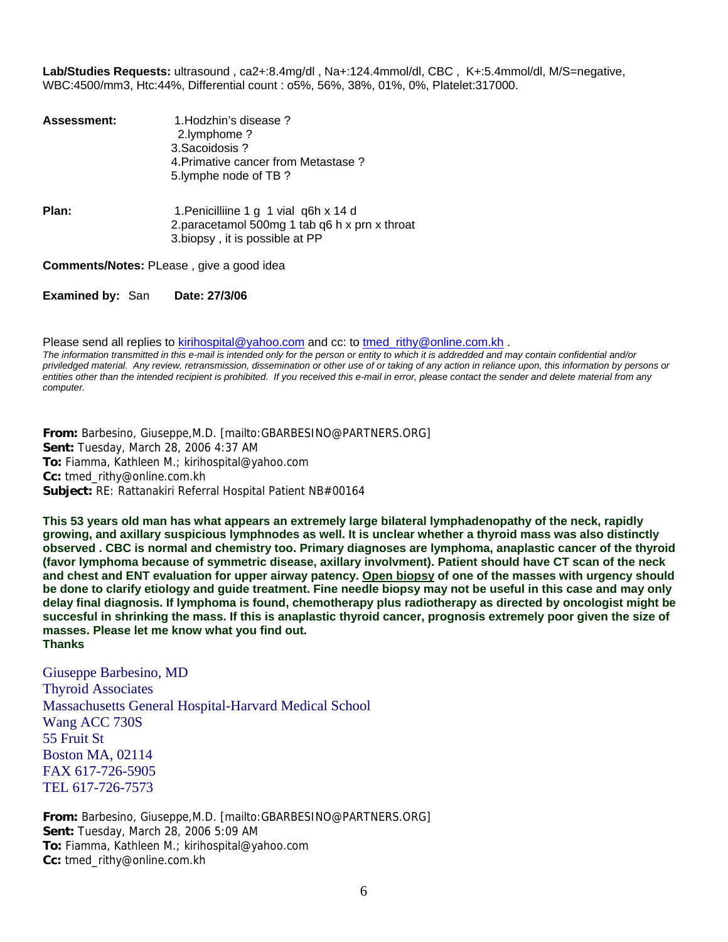**Lab/Studies Requests:** ultrasound , ca2+:8.4mg/dl , Na+:124.4mmol/dl, CBC , K+:5.4mmol/dl, M/S=negative, WBC:4500/mm3, Htc:44%, Differential count : o5%, 56%, 38%, 01%, 0%, Platelet:317000.

| <b>Assessment:</b> | 1. Hodzhin's disease?<br>2.lymphome?<br>3. Sacoidosis ?<br>4. Primative cancer from Metastase?<br>5. lymphe node of TB?  |
|--------------------|--------------------------------------------------------------------------------------------------------------------------|
| Plan:              | 1. Penicilliine 1 g 1 vial q6h x 14 d<br>2.paracetamol 500mg 1 tab q6 h x prn x throat<br>3.biopsy, it is possible at PP |

**Comments/Notes:** PLease , give a good idea

**Examined by:** San **Date: 27/3/06**

Please send all replies to [kirihospital@yahoo.com](mailto:kirihospital@yahoo.com) and cc: to tmed rithy@online.com.kh .

*The information transmitted in this e-mail is intended only for the person or entity to which it is addredded and may contain confidential and/or priviledged material. Any review, retransmission, dissemination or other use of or taking of any action in reliance upon, this information by persons or*  entities other than the intended recipient is prohibited. If you received this e-mail in error, please contact the sender and delete material from any *computer.*

**From:** Barbesino, Giuseppe,M.D. [mailto:GBARBESINO@PARTNERS.ORG] **Sent:** Tuesday, March 28, 2006 4:37 AM **To:** Fiamma, Kathleen M.; kirihospital@yahoo.com **Cc:** tmed\_rithy@online.com.kh **Subject:** RE: Rattanakiri Referral Hospital Patient NB#00164

**This 53 years old man has what appears an extremely large bilateral lymphadenopathy of the neck, rapidly growing, and axillary suspicious lymphnodes as well. It is unclear whether a thyroid mass was also distinctly observed . CBC is normal and chemistry too. Primary diagnoses are lymphoma, anaplastic cancer of the thyroid (favor lymphoma because of symmetric disease, axillary involvment). Patient should have CT scan of the neck and chest and ENT evaluation for upper airway patency. Open biopsy of one of the masses with urgency should be done to clarify etiology and guide treatment. Fine needle biopsy may not be useful in this case and may only delay final diagnosis. If lymphoma is found, chemotherapy plus radiotherapy as directed by oncologist might be succesful in shrinking the mass. If this is anaplastic thyroid cancer, prognosis extremely poor given the size of masses. Please let me know what you find out. Thanks** 

Giuseppe Barbesino, MD Thyroid Associates Massachusetts General Hospital-Harvard Medical School Wang ACC 730S 55 Fruit St Boston MA, 02114 FAX 617-726-5905 TEL 617-726-7573

**From:** Barbesino, Giuseppe,M.D. [mailto:GBARBESINO@PARTNERS.ORG] **Sent:** Tuesday, March 28, 2006 5:09 AM **To:** Fiamma, Kathleen M.; kirihospital@yahoo.com **Cc:** tmed\_rithy@online.com.kh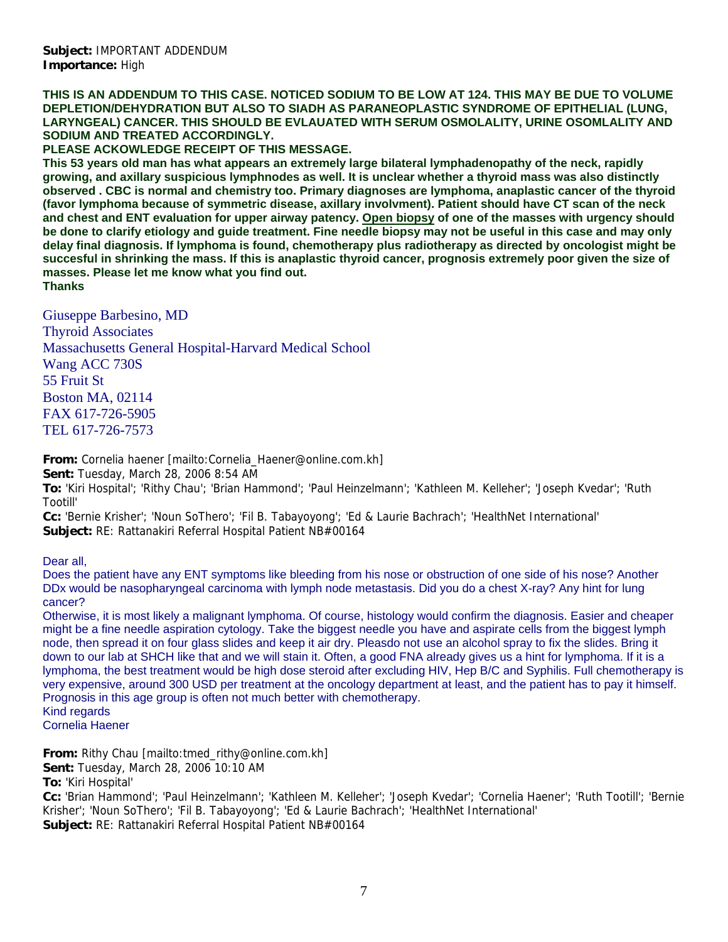**THIS IS AN ADDENDUM TO THIS CASE. NOTICED SODIUM TO BE LOW AT 124. THIS MAY BE DUE TO VOLUME DEPLETION/DEHYDRATION BUT ALSO TO SIADH AS PARANEOPLASTIC SYNDROME OF EPITHELIAL (LUNG, LARYNGEAL) CANCER. THIS SHOULD BE EVLAUATED WITH SERUM OSMOLALITY, URINE OSOMLALITY AND SODIUM AND TREATED ACCORDINGLY.** 

**PLEASE ACKOWLEDGE RECEIPT OF THIS MESSAGE.** 

**This 53 years old man has what appears an extremely large bilateral lymphadenopathy of the neck, rapidly growing, and axillary suspicious lymphnodes as well. It is unclear whether a thyroid mass was also distinctly observed . CBC is normal and chemistry too. Primary diagnoses are lymphoma, anaplastic cancer of the thyroid (favor lymphoma because of symmetric disease, axillary involvment). Patient should have CT scan of the neck and chest and ENT evaluation for upper airway patency. Open biopsy of one of the masses with urgency should be done to clarify etiology and guide treatment. Fine needle biopsy may not be useful in this case and may only delay final diagnosis. If lymphoma is found, chemotherapy plus radiotherapy as directed by oncologist might be succesful in shrinking the mass. If this is anaplastic thyroid cancer, prognosis extremely poor given the size of masses. Please let me know what you find out.** 

**Thanks** 

Giuseppe Barbesino, MD Thyroid Associates Massachusetts General Hospital-Harvard Medical School Wang ACC 730S 55 Fruit St Boston MA, 02114 FAX 617-726-5905 TEL 617-726-7573

**From:** Cornelia haener [mailto:Cornelia\_Haener@online.com.kh]

**Sent:** Tuesday, March 28, 2006 8:54 AM

**To:** 'Kiri Hospital'; 'Rithy Chau'; 'Brian Hammond'; 'Paul Heinzelmann'; 'Kathleen M. Kelleher'; 'Joseph Kvedar'; 'Ruth Tootill'

**Cc:** 'Bernie Krisher'; 'Noun SoThero'; 'Fil B. Tabayoyong'; 'Ed & Laurie Bachrach'; 'HealthNet International' **Subject:** RE: Rattanakiri Referral Hospital Patient NB#00164

Dear all,

Does the patient have any ENT symptoms like bleeding from his nose or obstruction of one side of his nose? Another DDx would be nasopharyngeal carcinoma with lymph node metastasis. Did you do a chest X-ray? Any hint for lung cancer?

Otherwise, it is most likely a malignant lymphoma. Of course, histology would confirm the diagnosis. Easier and cheaper might be a fine needle aspiration cytology. Take the biggest needle you have and aspirate cells from the biggest lymph node, then spread it on four glass slides and keep it air dry. Pleasdo not use an alcohol spray to fix the slides. Bring it down to our lab at SHCH like that and we will stain it. Often, a good FNA already gives us a hint for lymphoma. If it is a lymphoma, the best treatment would be high dose steroid after excluding HIV, Hep B/C and Syphilis. Full chemotherapy is very expensive, around 300 USD per treatment at the oncology department at least, and the patient has to pay it himself. Prognosis in this age group is often not much better with chemotherapy. Kind regards

Cornelia Haener

**From:** Rithy Chau [mailto:tmed\_rithy@online.com.kh]

**Sent:** Tuesday, March 28, 2006 10:10 AM

**To:** 'Kiri Hospital'

**Cc:** 'Brian Hammond'; 'Paul Heinzelmann'; 'Kathleen M. Kelleher'; 'Joseph Kvedar'; 'Cornelia Haener'; 'Ruth Tootill'; 'Bernie Krisher'; 'Noun SoThero'; 'Fil B. Tabayoyong'; 'Ed & Laurie Bachrach'; 'HealthNet International' **Subject:** RE: Rattanakiri Referral Hospital Patient NB#00164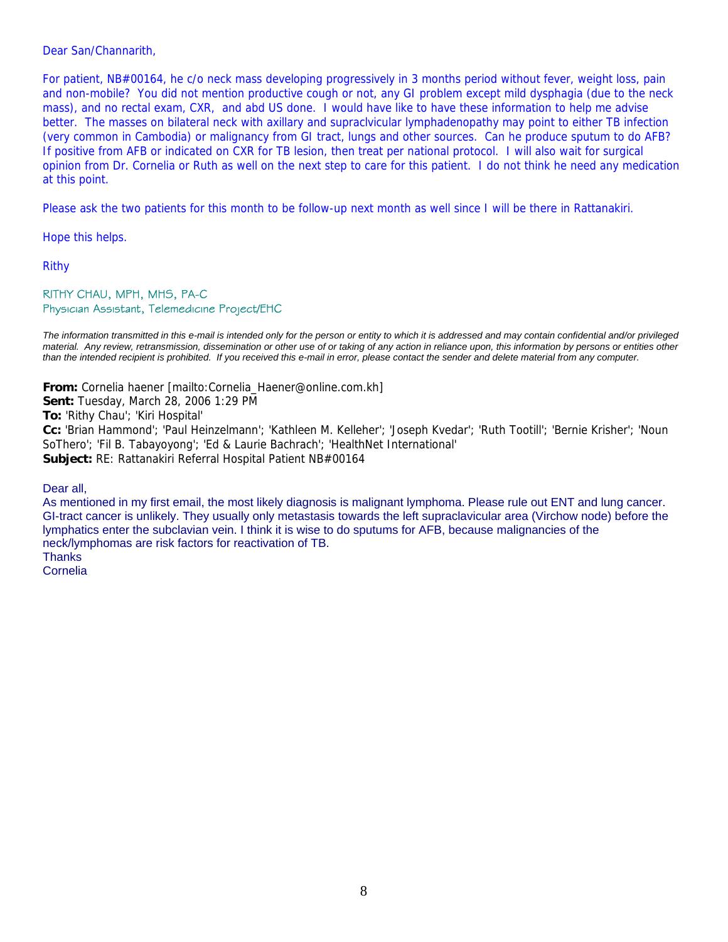### Dear San/Channarith,

For patient, NB#00164, he c/o neck mass developing progressively in 3 months period without fever, weight loss, pain and non-mobile? You did not mention productive cough or not, any GI problem except mild dysphagia (due to the neck mass), and no rectal exam, CXR, and abd US done. I would have like to have these information to help me advise better. The masses on bilateral neck with axillary and supraclvicular lymphadenopathy may point to either TB infection (very common in Cambodia) or malignancy from GI tract, lungs and other sources. Can he produce sputum to do AFB? If positive from AFB or indicated on CXR for TB lesion, then treat per national protocol. I will also wait for surgical opinion from Dr. Cornelia or Ruth as well on the next step to care for this patient. I do not think he need any medication at this point.

Please ask the two patients for this month to be follow-up next month as well since I will be there in Rattanakiri.

Hope this helps.

Rithy

#### RITHY CHAU, MPH, MHS, PA-C Physician Assistant, Telemedicine Project/EHC

*The information transmitted in this e-mail is intended only for the person or entity to which it is addressed and may contain confidential and/or privileged material. Any review, retransmission, dissemination or other use of or taking of any action in reliance upon, this information by persons or entities other than the intended recipient is prohibited. If you received this e-mail in error, please contact the sender and delete material from any computer.*

**From:** Cornelia haener [mailto:Cornelia\_Haener@online.com.kh] **Sent:** Tuesday, March 28, 2006 1:29 PM **To:** 'Rithy Chau'; 'Kiri Hospital' **Cc:** 'Brian Hammond'; 'Paul Heinzelmann'; 'Kathleen M. Kelleher'; 'Joseph Kvedar'; 'Ruth Tootill'; 'Bernie Krisher'; 'Noun SoThero'; 'Fil B. Tabayoyong'; 'Ed & Laurie Bachrach'; 'HealthNet International' **Subject:** RE: Rattanakiri Referral Hospital Patient NB#00164

Dear all,

As mentioned in my first email, the most likely diagnosis is malignant lymphoma. Please rule out ENT and lung cancer. GI-tract cancer is unlikely. They usually only metastasis towards the left supraclavicular area (Virchow node) before the lymphatics enter the subclavian vein. I think it is wise to do sputums for AFB, because malignancies of the neck/lymphomas are risk factors for reactivation of TB. **Thanks** 

Cornelia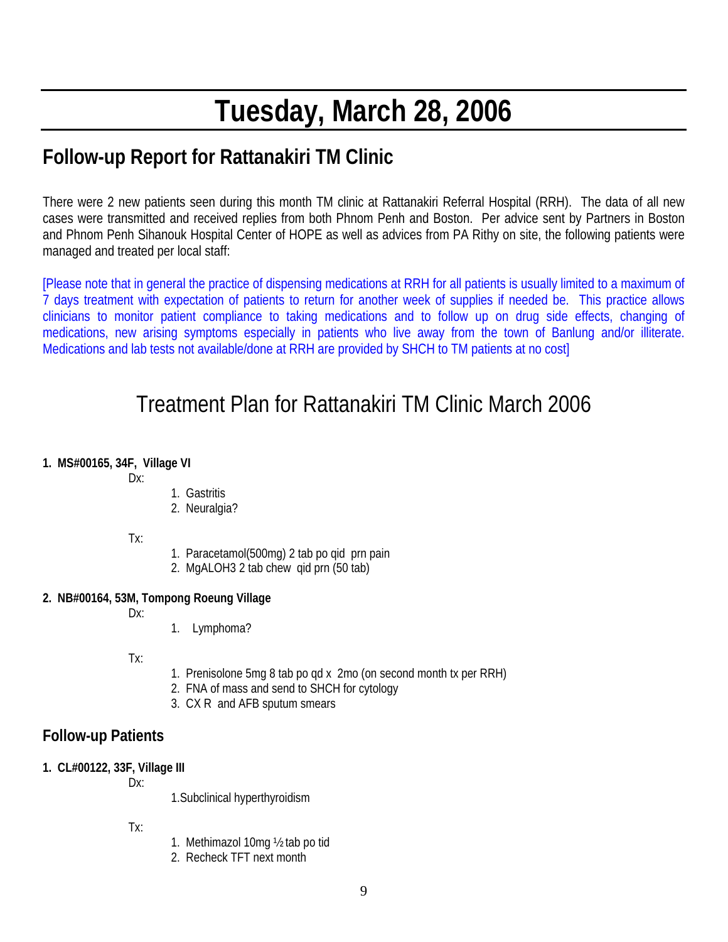# **Tuesday, March 28, 2006**

# **Follow-up Report for Rattanakiri TM Clinic**

There were 2 new patients seen during this month TM clinic at Rattanakiri Referral Hospital (RRH). The data of all new cases were transmitted and received replies from both Phnom Penh and Boston. Per advice sent by Partners in Boston and Phnom Penh Sihanouk Hospital Center of HOPE as well as advices from PA Rithy on site, the following patients were managed and treated per local staff:

[Please note that in general the practice of dispensing medications at RRH for all patients is usually limited to a maximum of 7 days treatment with expectation of patients to return for another week of supplies if needed be. This practice allows clinicians to monitor patient compliance to taking medications and to follow up on drug side effects, changing of medications, new arising symptoms especially in patients who live away from the town of Banlung and/or illiterate. Medications and lab tests not available/done at RRH are provided by SHCH to TM patients at no cost]

# Treatment Plan for Rattanakiri TM Clinic March 2006

# **1. MS#00165, 34F, Village VI**

Dx:

- 1. Gastritis
- 2. Neuralgia?
- Tx:
- 1. Paracetamol(500mg) 2 tab po qid prn pain
- 2. MgALOH3 2 tab chew qid prn (50 tab)

# **2. NB#00164, 53M, Tompong Roeung Village**

 $Dx$ 

1. Lymphoma?

Tx:

- 1. Prenisolone 5mg 8 tab po qd x 2mo (on second month tx per RRH)
- 2. FNA of mass and send to SHCH for cytology
- 3. CX R and AFB sputum smears

# **Follow-up Patients**

- **1. CL#00122, 33F, Village III** 
	- Dx:

1.Subclinical hyperthyroidism

Tx:

- 1. Methimazol 10mg ½ tab po tid
- 2. Recheck TFT next month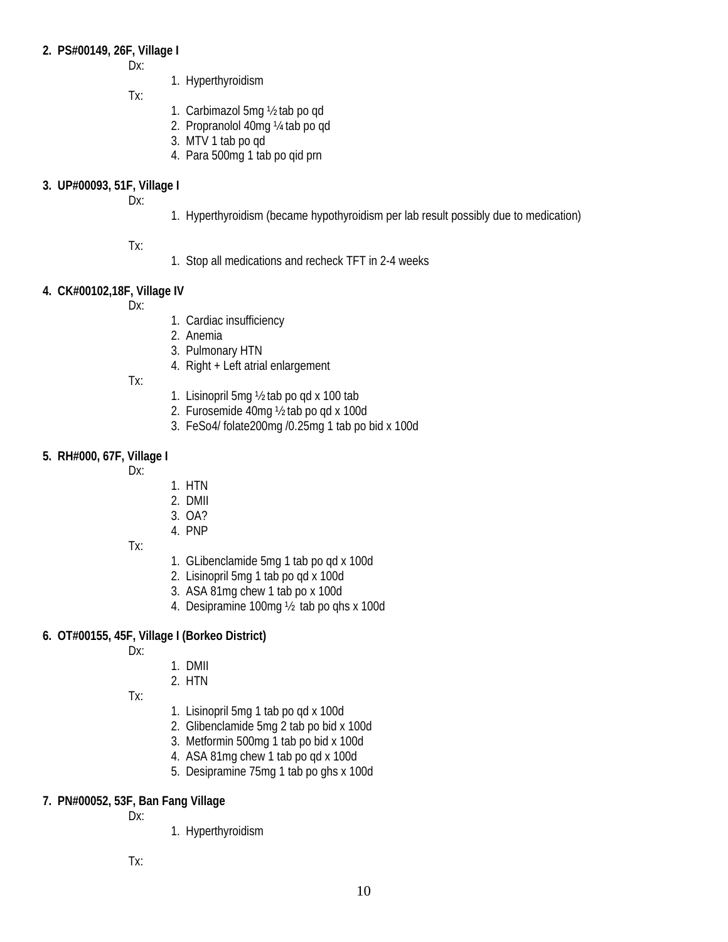## **2. PS#00149, 26F, Village I**

Dx:

1. Hyperthyroidism

Tx:

- 1. Carbimazol 5mg ½ tab po qd
- 2. Propranolol 40mg ¼ tab po qd
- 3. MTV 1 tab po qd
- 4. Para 500mg 1 tab po qid prn

# **3. UP#00093, 51F, Village I**

Dx:

1. Hyperthyroidism (became hypothyroidism per lab result possibly due to medication)

# Tx:

1. Stop all medications and recheck TFT in 2-4 weeks

# **4. CK#00102,18F, Village IV**

Dx:

- 1. Cardiac insufficiency
- 2. Anemia
- 3. Pulmonary HTN
- 4. Right + Left atrial enlargement

Tx:

- 1. Lisinopril 5mg ½ tab po qd x 100 tab
- 2. Furosemide 40mg ½ tab po qd x 100d
- 3. FeSo4/ folate200mg /0.25mg 1 tab po bid x 100d

# **5. RH#000, 67F, Village I**

Dx:

- 1. HTN
- 2. DMII
- 3. OA?
- 4. PNP
- Tx:
- 1. GLibenclamide 5mg 1 tab po qd x 100d
- 2. Lisinopril 5mg 1 tab po qd x 100d
- 3. ASA 81mg chew 1 tab po x 100d
- 4. Desipramine 100mg ½ tab po qhs x 100d

# **6. OT#00155, 45F, Village I (Borkeo District)**

Dx:

- 1. DMII
- 2. HTN

Tx:

- 1. Lisinopril 5mg 1 tab po qd x 100d
- 2. Glibenclamide 5mg 2 tab po bid x 100d
- 3. Metformin 500mg 1 tab po bid x 100d
- 4. ASA 81mg chew 1 tab po qd x 100d
- 5. Desipramine 75mg 1 tab po ghs x 100d

# **7. PN#00052, 53F, Ban Fang Village**

Dx:

1. Hyperthyroidism